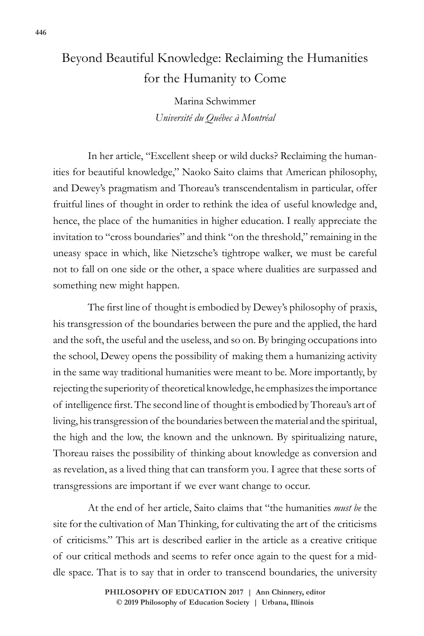## Beyond Beautiful Knowledge: Reclaiming the Humanities for the Humanity to Come

Marina Schwimmer *Université du Québec à Montréal*

In her article, "Excellent sheep or wild ducks? Reclaiming the humanities for beautiful knowledge," Naoko Saito claims that American philosophy, and Dewey's pragmatism and Thoreau's transcendentalism in particular, offer fruitful lines of thought in order to rethink the idea of useful knowledge and, hence, the place of the humanities in higher education. I really appreciate the invitation to "cross boundaries" and think "on the threshold," remaining in the uneasy space in which, like Nietzsche's tightrope walker, we must be careful not to fall on one side or the other, a space where dualities are surpassed and something new might happen.

The first line of thought is embodied by Dewey's philosophy of praxis, his transgression of the boundaries between the pure and the applied, the hard and the soft, the useful and the useless, and so on. By bringing occupations into the school, Dewey opens the possibility of making them a humanizing activity in the same way traditional humanities were meant to be. More importantly, by rejecting the superiority of theoretical knowledge, he emphasizes the importance of intelligence first. The second line of thought is embodied by Thoreau's art of living, his transgression of the boundaries between the material and the spiritual, the high and the low, the known and the unknown. By spiritualizing nature, Thoreau raises the possibility of thinking about knowledge as conversion and as revelation, as a lived thing that can transform you. I agree that these sorts of transgressions are important if we ever want change to occur.

At the end of her article, Saito claims that "the humanities *must be* the site for the cultivation of Man Thinking, for cultivating the art of the criticisms of criticisms." This art is described earlier in the article as a creative critique of our critical methods and seems to refer once again to the quest for a middle space. That is to say that in order to transcend boundaries, the university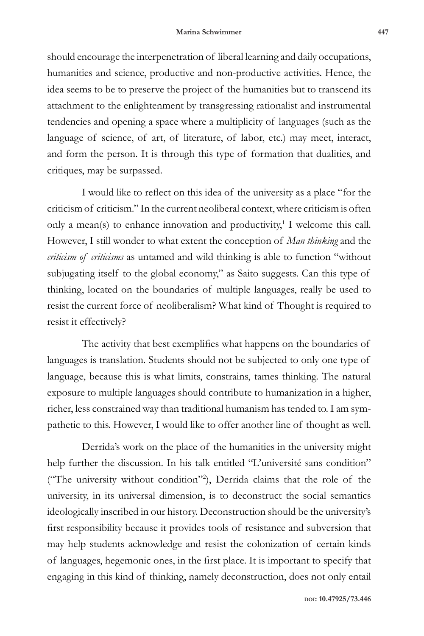should encourage the interpenetration of liberal learning and daily occupations, humanities and science, productive and non-productive activities. Hence, the idea seems to be to preserve the project of the humanities but to transcend its attachment to the enlightenment by transgressing rationalist and instrumental tendencies and opening a space where a multiplicity of languages (such as the language of science, of art, of literature, of labor, etc.) may meet, interact, and form the person. It is through this type of formation that dualities, and critiques, may be surpassed.

I would like to reflect on this idea of the university as a place "for the criticism of criticism." In the current neoliberal context, where criticism is often only a mean(s) to enhance innovation and productivity,<sup>1</sup> I welcome this call. However, I still wonder to what extent the conception of *Man thinking* and the *criticism of criticisms* as untamed and wild thinking is able to function "without subjugating itself to the global economy," as Saito suggests. Can this type of thinking, located on the boundaries of multiple languages, really be used to resist the current force of neoliberalism? What kind of Thought is required to resist it effectively?

The activity that best exemplifies what happens on the boundaries of languages is translation. Students should not be subjected to only one type of language, because this is what limits, constrains, tames thinking. The natural exposure to multiple languages should contribute to humanization in a higher, richer, less constrained way than traditional humanism has tended to. I am sympathetic to this. However, I would like to offer another line of thought as well.

Derrida's work on the place of the humanities in the university might help further the discussion. In his talk entitled "L'université sans condition" ("The university without condition"2 ), Derrida claims that the role of the university, in its universal dimension, is to deconstruct the social semantics ideologically inscribed in our history. Deconstruction should be the university's first responsibility because it provides tools of resistance and subversion that may help students acknowledge and resist the colonization of certain kinds of languages, hegemonic ones, in the first place. It is important to specify that engaging in this kind of thinking, namely deconstruction, does not only entail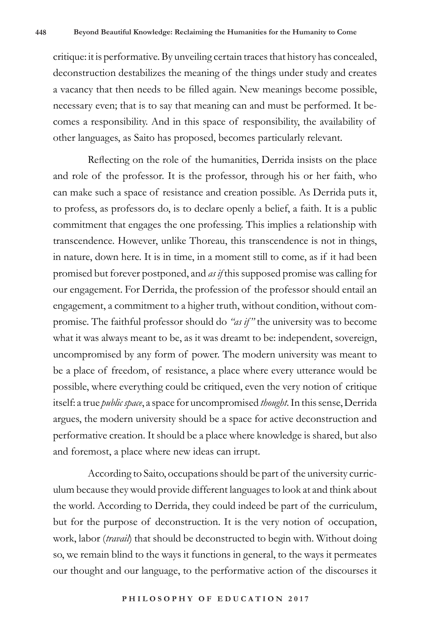critique: it is performative. By unveiling certain traces that history has concealed, deconstruction destabilizes the meaning of the things under study and creates a vacancy that then needs to be filled again. New meanings become possible, necessary even; that is to say that meaning can and must be performed. It becomes a responsibility. And in this space of responsibility, the availability of other languages, as Saito has proposed, becomes particularly relevant.

Reflecting on the role of the humanities, Derrida insists on the place and role of the professor. It is the professor, through his or her faith, who can make such a space of resistance and creation possible. As Derrida puts it, to profess, as professors do, is to declare openly a belief, a faith. It is a public commitment that engages the one professing. This implies a relationship with transcendence. However, unlike Thoreau, this transcendence is not in things, in nature, down here. It is in time, in a moment still to come, as if it had been promised but forever postponed, and *as if* this supposed promise was calling for our engagement. For Derrida, the profession of the professor should entail an engagement, a commitment to a higher truth, without condition, without compromise. The faithful professor should do *"as if"* the university was to become what it was always meant to be, as it was dreamt to be: independent, sovereign, uncompromised by any form of power. The modern university was meant to be a place of freedom, of resistance, a place where every utterance would be possible, where everything could be critiqued, even the very notion of critique itself: a true *public space*, a space for uncompromised *thought*. In this sense, Derrida argues, the modern university should be a space for active deconstruction and performative creation. It should be a place where knowledge is shared, but also and foremost, a place where new ideas can irrupt.

According to Saito, occupations should be part of the university curriculum because they would provide different languages to look at and think about the world. According to Derrida, they could indeed be part of the curriculum, but for the purpose of deconstruction. It is the very notion of occupation, work, labor (*travail*) that should be deconstructed to begin with. Without doing so, we remain blind to the ways it functions in general, to the ways it permeates our thought and our language, to the performative action of the discourses it